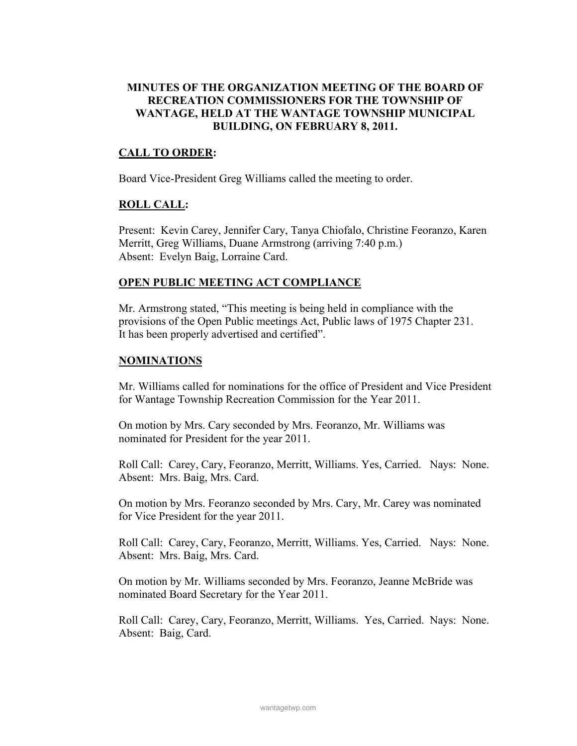# MINUTES OF THE ORGANIZATION MEETING OF THE BOARD OF RECREATION COMMISSIONERS FOR THE TOWNSHIP OF WANTAGE, HELD AT THE WANTAGE TOWNSHIP MUNICIPAL BUILDING, ON FEBRUARY 8, 2011.

## CALL TO ORDER:

Board Vice-President Greg Williams called the meeting to order.

## ROLL CALL:

Present: Kevin Carey, Jennifer Cary, Tanya Chiofalo, Christine Feoranzo, Karen Merritt, Greg Williams, Duane Armstrong (arriving 7:40 p.m.) Absent: Evelyn Baig, Lorraine Card.

## OPEN PUBLIC MEETING ACT COMPLIANCE

Mr. Armstrong stated, "This meeting is being held in compliance with the provisions of the Open Public meetings Act, Public laws of 1975 Chapter 231. It has been properly advertised and certified".

## NOMINATIONS

Mr. Williams called for nominations for the office of President and Vice President for Wantage Township Recreation Commission for the Year 2011.

On motion by Mrs. Cary seconded by Mrs. Feoranzo, Mr. Williams was nominated for President for the year 2011.

Roll Call: Carey, Cary, Feoranzo, Merritt, Williams. Yes, Carried. Nays: None. Absent: Mrs. Baig, Mrs. Card.

On motion by Mrs. Feoranzo seconded by Mrs. Cary, Mr. Carey was nominated for Vice President for the year 2011.

Roll Call: Carey, Cary, Feoranzo, Merritt, Williams. Yes, Carried. Nays: None. Absent: Mrs. Baig, Mrs. Card.

On motion by Mr. Williams seconded by Mrs. Feoranzo, Jeanne McBride was nominated Board Secretary for the Year 2011.

Roll Call: Carey, Cary, Feoranzo, Merritt, Williams. Yes, Carried. Nays: None. Absent: Baig, Card.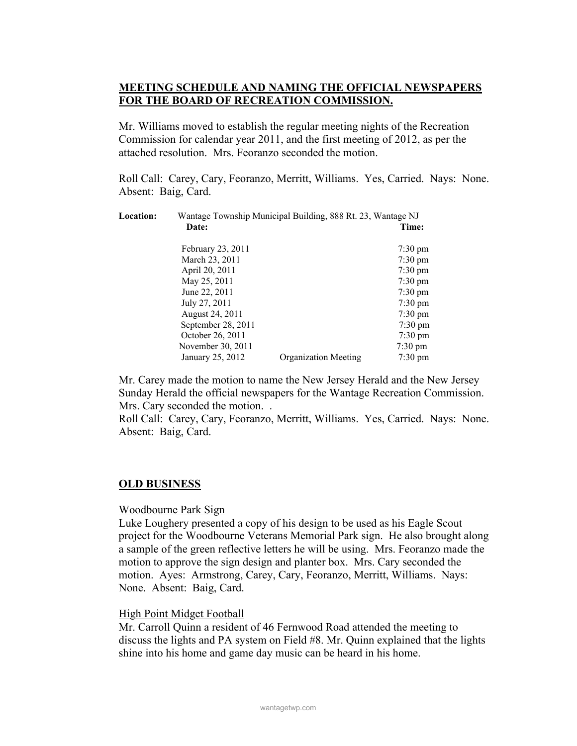# MEETING SCHEDULE AND NAMING THE OFFICIAL NEWSPAPERS FOR THE BOARD OF RECREATION COMMISSION.

Mr. Williams moved to establish the regular meeting nights of the Recreation Commission for calendar year 2011, and the first meeting of 2012, as per the attached resolution. Mrs. Feoranzo seconded the motion.

Roll Call: Carey, Cary, Feoranzo, Merritt, Williams. Yes, Carried. Nays: None. Absent: Baig, Card.

| Location: | Wantage Township Municipal Building, 888 Rt. 23, Wantage NJ |                             |                   |
|-----------|-------------------------------------------------------------|-----------------------------|-------------------|
|           | Date:                                                       |                             | Time:             |
|           | February 23, 2011                                           |                             | $7:30 \text{ pm}$ |
|           | March 23, 2011                                              |                             | $7:30 \text{ pm}$ |
|           | April 20, 2011                                              |                             | $7:30 \text{ pm}$ |
|           | May 25, 2011                                                |                             | $7:30 \text{ pm}$ |
|           | June 22, 2011                                               |                             | $7:30 \text{ pm}$ |
|           | July 27, 2011                                               |                             | $7:30 \text{ pm}$ |
|           | August 24, 2011                                             |                             | $7:30 \text{ pm}$ |
|           | September 28, 2011                                          |                             | $7:30 \text{ pm}$ |
|           | October 26, 2011                                            |                             | $7:30 \text{ pm}$ |
|           | November 30, 2011                                           |                             | $7:30 \text{ pm}$ |
|           | January 25, 2012                                            | <b>Organization Meeting</b> | $7:30 \text{ pm}$ |

Mr. Carey made the motion to name the New Jersey Herald and the New Jersey Sunday Herald the official newspapers for the Wantage Recreation Commission. Mrs. Cary seconded the motion. .

Roll Call: Carey, Cary, Feoranzo, Merritt, Williams. Yes, Carried. Nays: None. Absent: Baig, Card.

## OLD BUSINESS

#### Woodbourne Park Sign

Luke Loughery presented a copy of his design to be used as his Eagle Scout project for the Woodbourne Veterans Memorial Park sign. He also brought along a sample of the green reflective letters he will be using. Mrs. Feoranzo made the motion to approve the sign design and planter box. Mrs. Cary seconded the motion. Ayes: Armstrong, Carey, Cary, Feoranzo, Merritt, Williams. Nays: None. Absent: Baig, Card.

## High Point Midget Football

Mr. Carroll Quinn a resident of 46 Fernwood Road attended the meeting to discuss the lights and PA system on Field #8. Mr. Quinn explained that the lights shine into his home and game day music can be heard in his home.